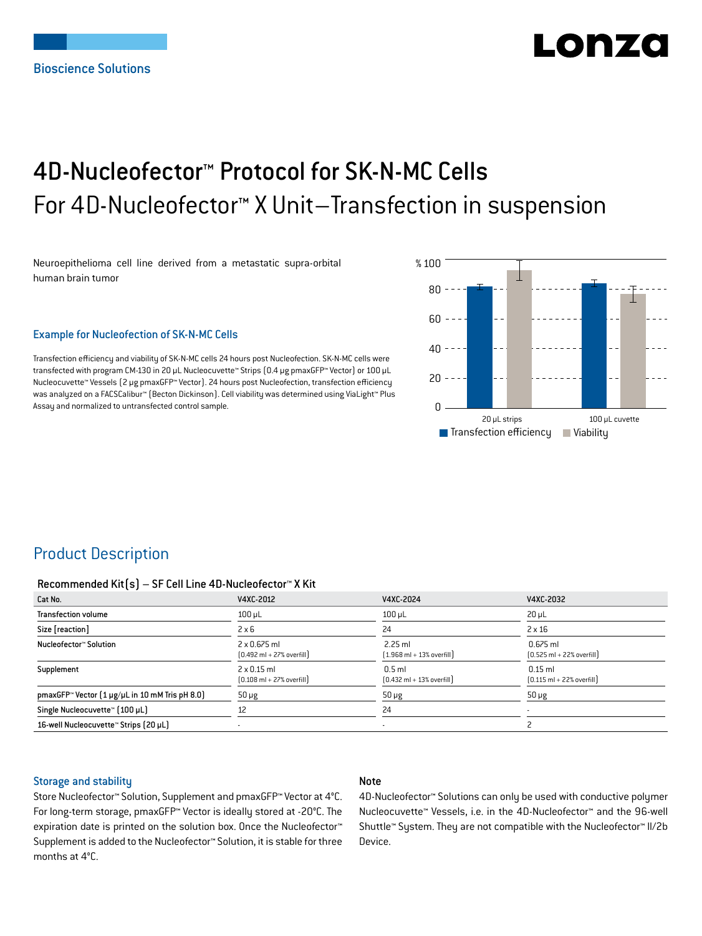# LONZ

## 4D-Nucleofector™ Protocol for SK-N-MC Cells For 4D-Nucleofector™ X Unit–Transfection in suspension

Neuroepithelioma cell line derived from a metastatic supra-orbital human brain tumor

#### Example for Nucleofection of SK-N-MC Cells

Transfection efficiency and viability of SK-N-MC cells 24 hours post Nucleofection. SK-N-MC cells were transfected with program CM-130 in 20 μL Nucleocuvette™ Strips (0.4 μg pmaxGFP™ Vector) or 100 μL Nucleocuvette™ Vessels (2 μg pmaxGFP™ Vector). 24 hours post Nucleofection, transfection efficiency was analyzed on a FACSCalibur™ (Becton Dickinson). Cell viability was determined using ViaLight™ Plus Assay and normalized to untransfected control sample.



## Product Description

#### Recommended Kit(s) – SF Cell Line 4D-Nucleofector™ X Kit

| Cat No.                                                    | V4XC-2012                                                           | V4XC-2024                                                 | V4XC-2032                                                  |
|------------------------------------------------------------|---------------------------------------------------------------------|-----------------------------------------------------------|------------------------------------------------------------|
| <b>Transfection volume</b>                                 | $100$ $\mu$ L                                                       | $100$ $\mu$ L                                             | $20 \mu L$                                                 |
| Size [reaction]                                            | $2 \times 6$                                                        | 24                                                        | $2 \times 16$                                              |
| Nucleofector™ Solution                                     | $2 \times 0.675$ ml<br>$[0.492 \text{ ml} + 27\% \text{ overfill}]$ | $2.25$ ml<br>$[1.968 \text{ ml} + 13\% \text{ overfill}]$ | $0.675$ ml<br>$[0.525 \text{ ml} + 22\% \text{ overfill}]$ |
| Supplement                                                 | $2 \times 0.15$ ml<br>$[0.108 \text{ ml} + 27\% \text{ overfill}]$  | $0.5$ ml<br>$[0.432 \text{ ml} + 13\% \text{ overfill}]$  | $0.15$ ml<br>$[0.115 \text{ ml} + 22\% \text{ overfill}]$  |
| pmaxGFP <sup>™</sup> Vector (1 µg/µL in 10 mM Tris pH 8.0) | $50 \mu g$                                                          | $50 \mu g$                                                | $50 \mu g$                                                 |
| Single Nucleocuvette™ [100 µL]                             | 12                                                                  | 24                                                        |                                                            |
| 16-well Nucleocuvette™ Strips (20 µL)                      |                                                                     | $\overline{\phantom{a}}$                                  |                                                            |

#### Storage and stability

#### Note

Store Nucleofector™ Solution, Supplement and pmaxGFP™ Vector at 4°C. For long-term storage, pmaxGFP™ Vector is ideally stored at -20°C. The expiration date is printed on the solution box. Once the Nucleofector™ Supplement is added to the Nucleofector™ Solution, it is stable for three months at 4°C.

4D-Nucleofector™ Solutions can only be used with conductive polymer Nucleocuvette™ Vessels, i.e. in the 4D-Nucleofector™ and the 96-well Shuttle™ System. They are not compatible with the Nucleofector™ II/2b Device.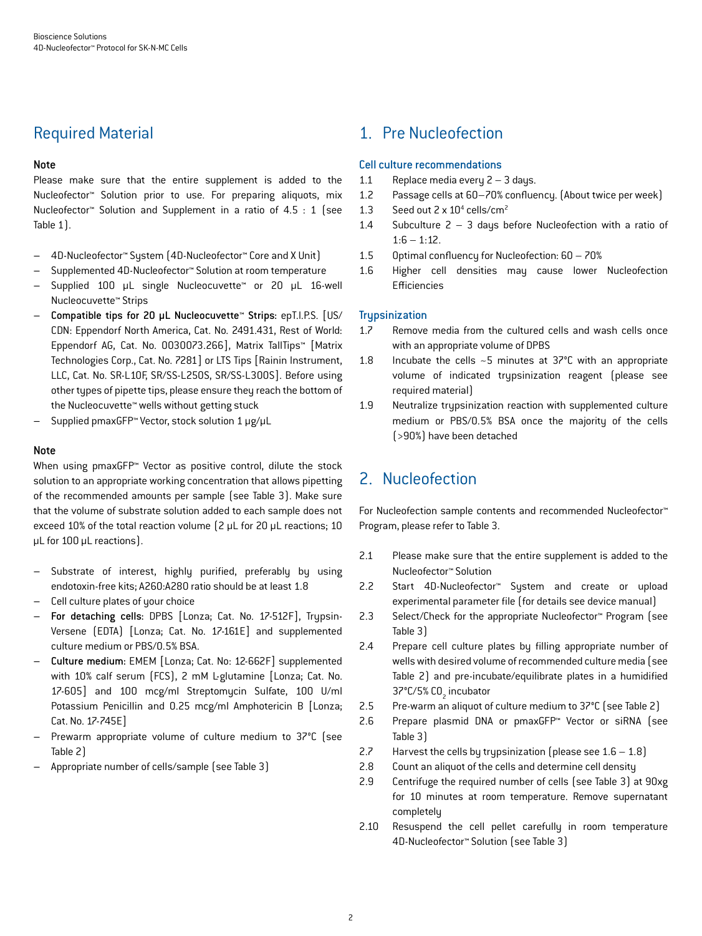## Required Material

#### Note

Please make sure that the entire supplement is added to the Nucleofector™ Solution prior to use. For preparing aliquots, mix Nucleofector™ Solution and Supplement in a ratio of 4.5 : 1 (see Table 1).

- 4D-Nucleofector™ System (4D-Nucleofector™ Core and X Unit)
- Supplemented 4D-Nucleofector™ Solution at room temperature
- Supplied 100 μL single Nucleocuvette™ or 20 μL 16-well Nucleocuvette™ Strips
- Compatible tips for 20 μL Nucleocuvette™ Strips: epT.I.P.S. [US/ CDN: Eppendorf North America, Cat. No. 2491.431, Rest of World: Eppendorf AG, Cat. No. 0030073.266], Matrix TallTips™ [Matrix Technologies Corp., Cat. No. 7281] or LTS Tips [Rainin Instrument, LLC, Cat. No. SR-L10F, SR/SS-L250S, SR/SS-L300S]. Before using other types of pipette tips, please ensure they reach the bottom of the Nucleocuvette™ wells without getting stuck
- Supplied pmaxGFP™ Vector, stock solution 1 μg/μL

#### **Note**

When using pmaxGFP<sup>™</sup> Vector as positive control, dilute the stock solution to an appropriate working concentration that allows pipetting of the recommended amounts per sample (see Table 3). Make sure that the volume of substrate solution added to each sample does not exceed 10% of the total reaction volume (2 μL for 20 μL reactions; 10 μL for 100 μL reactions).

- Substrate of interest, highly purified, preferably by using endotoxin-free kits; A260:A280 ratio should be at least 1.8
- Cell culture plates of your choice
- For detaching cells: DPBS [Lonza; Cat. No. 17-512F], Trypsin-Versene (EDTA) [Lonza; Cat. No. 17-161E] and supplemented culture medium or PBS/0.5% BSA.
- Culture medium: EMEM [Lonza; Cat. No: 12-662F] supplemented with 10% calf serum (FCS), 2 mM L-glutamine [Lonza; Cat. No. 17-605] and 100 mcg/ml Streptomycin Sulfate, 100 U/ml Potassium Penicillin and 0.25 mcg/ml Amphotericin B [Lonza; Cat. No. 17-745E]
- Prewarm appropriate volume of culture medium to 37°C (see Table 2)
- Appropriate number of cells/sample (see Table 3)

## 1. Pre Nucleofection

#### Cell culture recommendations

- 1.1 Replace media every  $2 3$  days.
- 1.2 Passage cells at 60–70% confluency. (About twice per week)
- 1.3 Seed out  $2 \times 10^4$  cells/cm<sup>2</sup>
- 1.4 Subculture 2 3 days before Nucleofection with a ratio of  $1:6 - 1:12$ .
- 1.5 Optimal confluency for Nucleofection: 60 70%
- 1.6 Higher cell densities may cause lower Nucleofection Efficiencies

#### **Trupsinization**

- 1.7 Remove media from the cultured cells and wash cells once with an appropriate volume of DPBS
- 1.8 Incubate the cells ~5 minutes at 37°C with an appropriate volume of indicated trypsinization reagent (please see required material)
- 1.9 Neutralize trypsinization reaction with supplemented culture medium or PBS/0.5% BSA once the majority of the cells (>90%) have been detached

## 2. Nucleofection

For Nucleofection sample contents and recommended Nucleofector™ Program, please refer to Table 3.

- 2.1 Please make sure that the entire supplement is added to the Nucleofector™ Solution
- 2.2 Start 4D-Nucleofector™ System and create or upload experimental parameter file (for details see device manual)
- 2.3 Select/Check for the appropriate Nucleofector™ Program (see Table 3)
- 2.4 Prepare cell culture plates by filling appropriate number of wells with desired volume of recommended culture media (see Table 2) and pre-incubate/equilibrate plates in a humidified 37°C/5% CO<sub>2</sub> incubator
- 2.5 Pre-warm an aliquot of culture medium to 37°C (see Table 2)
- 2.6 Prepare plasmid DNA or pmaxGFP™ Vector or siRNA (see Table 3)
- 2.7 Harvest the cells by trypsinization (please see  $1.6 1.8$ )
- 2.8 Count an aliquot of the cells and determine cell density
- 2.9 Centrifuge the required number of cells (see Table 3) at 90xg for 10 minutes at room temperature. Remove supernatant completely
- 2.10 Resuspend the cell pellet carefully in room temperature 4D-Nucleofector™ Solution (see Table 3)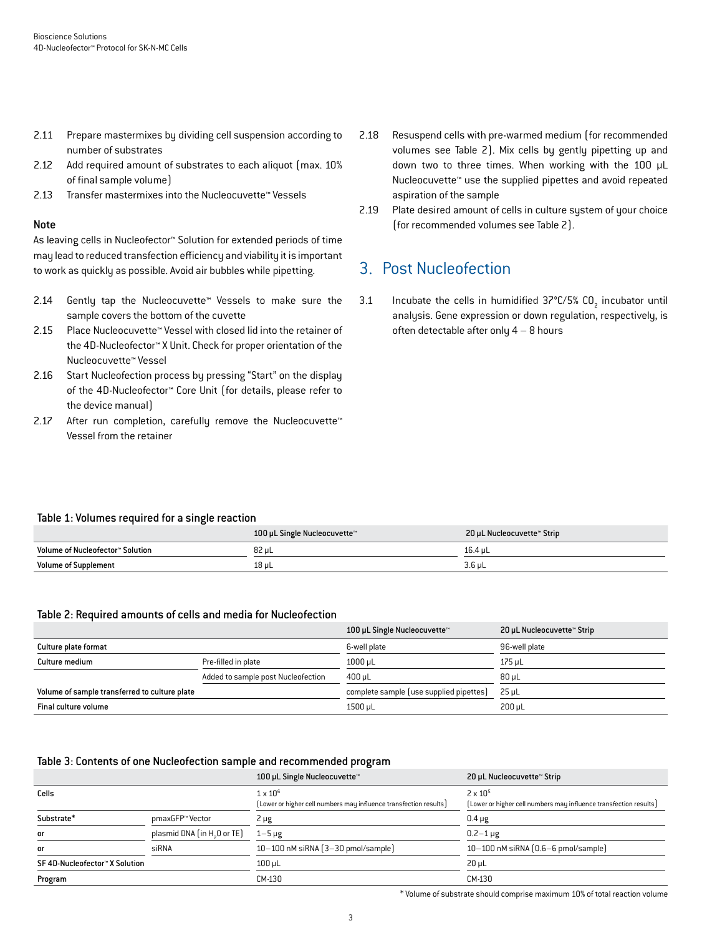- 2.11 Prepare mastermixes by dividing cell suspension according to number of substrates
- 2.12 Add required amount of substrates to each aliquot (max. 10% of final sample volume)
- 2.13 Transfer mastermixes into the Nucleocuvette™ Vessels

#### Note

As leaving cells in Nucleofector™ Solution for extended periods of time may lead to reduced transfection efficiency and viability it is important to work as quickly as possible. Avoid air bubbles while pipetting.

- 2.14 Gently tap the Nucleocuvette™ Vessels to make sure the sample covers the bottom of the cuvette
- 2.15 Place Nucleocuvette™ Vessel with closed lid into the retainer of the 4D-Nucleofector™ X Unit. Check for proper orientation of the Nucleocuvette™ Vessel
- 2.16 Start Nucleofection process by pressing "Start" on the display of the 4D-Nucleofector™ Core Unit (for details, please refer to the device manual)
- 2.17 After run completion, carefully remove the Nucleocuvette™ Vessel from the retainer
- 2.18 Resuspend cells with pre-warmed medium (for recommended volumes see Table 2). Mix cells by gently pipetting up and down two to three times. When working with the 100 μL Nucleocuvette™ use the supplied pipettes and avoid repeated aspiration of the sample
- 2.19 Plate desired amount of cells in culture system of your choice (for recommended volumes see Table 2).

## 3. Post Nucleofection

3.1 Incubate the cells in humidified  $37^{\circ}$ C/5% CO<sub>2</sub> incubator until analysis. Gene expression or down regulation, respectively, is often detectable after only  $4 - 8$  hours

#### Table 1: Volumes required for a single reaction

|                                  | 100 µL Single Nucleocuvette™ | 20 µL Nucleocuvette™ Strip |
|----------------------------------|------------------------------|----------------------------|
| Volume of Nucleofector™ Solution | 82 µL                        | 16.4 uL                    |
| <b>Volume of Supplement</b>      | 18 µL                        | $3.6$ uL                   |

#### Table 2: Required amounts of cells and media for Nucleofection

|                                               |                                    | 100 µL Single Nucleocuvette™            | 20 µL Nucleocuvette™ Strip |
|-----------------------------------------------|------------------------------------|-----------------------------------------|----------------------------|
| Culture plate format                          |                                    | 6-well plate                            | 96-well plate              |
| Culture medium                                | Pre-filled in plate                | $1000 \mu L$                            | 175 uL                     |
|                                               | Added to sample post Nucleofection | 400 uL                                  | 80 uL                      |
| Volume of sample transferred to culture plate |                                    | complete sample (use supplied pipettes) | 25 uL                      |
| Final culture volume                          |                                    | 1500 µL                                 | $200 \mu L$                |

#### Table 3: Contents of one Nucleofection sample and recommended program

|                                |                                         | 100 µL Single Nucleocuvette™                                                         | 20 µL Nucleocuvette™ Strip                                                             |
|--------------------------------|-----------------------------------------|--------------------------------------------------------------------------------------|----------------------------------------------------------------------------------------|
| Cells                          |                                         | $1 \times 10^6$<br>[Lower or higher cell numbers may influence transfection results] | $2 \times 10^{5}$<br>[Lower or higher cell numbers may influence transfection results] |
| Substrate*                     | pmaxGFP™ Vector                         | $2 \mu g$                                                                            | $0.4 \mu g$                                                                            |
| or                             | plasmid DNA (in H <sub>2</sub> O or TE) | $1 - 5 \mu g$                                                                        | $0.2 - 1 \,\mu g$                                                                      |
| or                             | siRNA                                   | 10-100 nM siRNA (3-30 pmol/sample)                                                   | $10-100$ nM siRNA $(0.6-6$ pmol/sample)                                                |
| SF 4D-Nucleofector™ X Solution |                                         | $100 \mu L$                                                                          | $20 \mu L$                                                                             |
| Program                        |                                         | CM-130                                                                               | CM-130                                                                                 |

\* Volume of substrate should comprise maximum 10% of total reaction volume